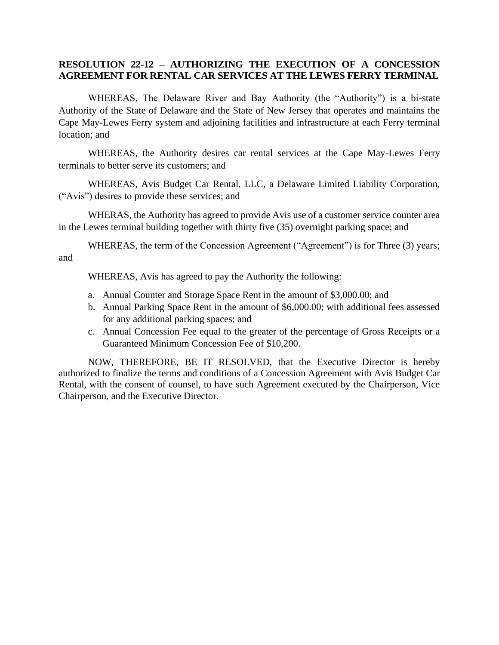## **RESOLUTION 22-12 – AUTHORIZING THE EXECUTION OF A CONCESSION AGREEMENT FOR RENTAL CAR SERVICES AT THE LEWES FERRY TERMINAL**

WHEREAS, The Delaware River and Bay Authority (the "Authority") is a bi-state Authority of the State of Delaware and the State of New Jersey that operates and maintains the Cape May-Lewes Ferry system and adjoining facilities and infrastructure at each Ferry terminal location; and

WHEREAS, the Authority desires car rental services at the Cape May-Lewes Ferry terminals to better serve its customers; and

WHEREAS, Avis Budget Car Rental, LLC, a Delaware Limited Liability Corporation, ("Avis") desires to provide these services; and

WHERAS, the Authority has agreed to provide Avis use of a customer service counter area in the Lewes terminal building together with thirty five (35) overnight parking space; and

WHEREAS, the term of the Concession Agreement ("Agreement") is for Three (3) years; and

WHEREAS, Avis has agreed to pay the Authority the following:

- a. Annual Counter and Storage Space Rent in the amount of \$3,000.00; and
- b. Annual Parking Space Rent in the amount of \$6,000.00; with additional fees assessed for any additional parking spaces; and
- c. Annual Concession Fee equal to the greater of the percentage of Gross Receipts or a Guaranteed Minimum Concession Fee of \$10,200.

NOW, THEREFORE, BE IT RESOLVED, that the Executive Director is hereby authorized to finalize the terms and conditions of a Concession Agreement with Avis Budget Car Rental, with the consent of counsel, to have such Agreement executed by the Chairperson, Vice Chairperson, and the Executive Director.